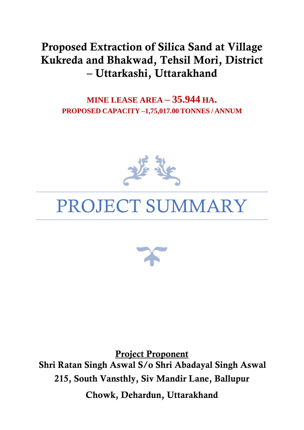# Proposed Extraction of Silica Sand at Village Kukreda and Bhakwad, Tehsil Mori, District – Uttarkashi, Uttarakhand

**MINE LEASE AREA – 35.944 HA. PROPOSED CAPACITY –1,75,017.00 TONNES / ANNUM**



# PROJECT SUMMARY



Project Proponent Shri Ratan Singh Aswal S/o Shri Abadayal Singh Aswal 215, South Vansthly, Siv Mandir Lane, Ballupur Chowk, Dehardun, Uttarakhand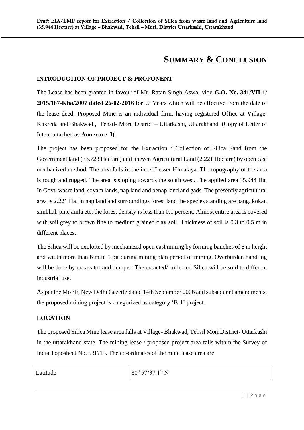## **SUMMARY & CONCLUSION**

#### **INTRODUCTION OF PROJECT & PROPONENT**

The Lease has been granted in favour of Mr. Ratan Singh Aswal vide **G.O. No. 341/VII-1/ 2015/187-Kha/2007 dated 26-02-2016** for 50 Years which will be effective from the date of the lease deed. Proposed Mine is an individual firm, having registered Office at Village: Kukreda and Bhakwad , Tehsil- Mori, District – Uttarkashi, Uttarakhand. (Copy of Letter of Intent attached as **Annexure–I)**.

The project has been proposed for the Extraction / Collection of Silica Sand from the Government land (33.723 Hectare) and uneven Agricultural Land (2.221 Hectare) by open cast mechanized method. The area falls in the inner Lesser Himalaya. The topography of the area is rough and rugged. The area is sloping towards the south west. The applied area 35.944 Ha. In Govt. wasre land, soyam lands, nap land and benap land and gads. The presently agricultural area is 2.221 Ha. In nap land and surroundings forest land the species standing are bang, kokat, simbhal, pine amla etc. the forest density is less than 0.1 percent. Almost entire area is covered with soil grey to brown fine to medium grained clay soil. Thickness of soil is 0.3 to 0.5 m in different places..

The Silica will be exploited by mechanized open cast mining by forming banches of 6 m height and width more than 6 m in 1 pit during mining plan period of mining. Overburden handling will be done by excavator and dumper. The extacted/collected Silica will be sold to different industrial use.

As per the MoEF, New Delhi Gazette dated 14th September 2006 and subsequent amendments, the proposed mining project is categorized as category 'B-1' project.

#### **LOCATION**

The proposed Silica Mine lease area falls at Village- Bhakwad, Tehsil Mori District- Uttarkashi in the uttarakhand state. The mining lease / proposed project area falls within the Survey of India Toposheet No. 53F/13. The co-ordinates of the mine lease area are:

| Latitude | $57'37'1''$ N<br>$30^{0}$<br>$\sim$ $\sim$ |
|----------|--------------------------------------------|
|          |                                            |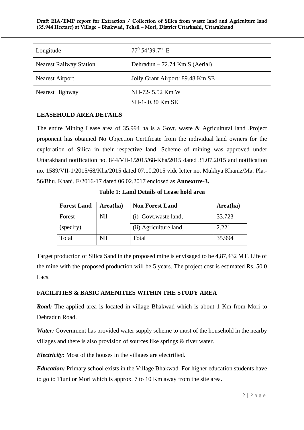Draft EIA/EMP report for Extraction / Collection of Silica from waste land and Agriculture land (35.944 Hectare) at Village – Bhakwad, Tehsil – Mori, District Uttarkashi, Uttarakhand

| Longitude                          | $77^0$ 54'39.7" E                |
|------------------------------------|----------------------------------|
| <b>Nearest Railway Station</b>     | Dehradun $-72.74$ Km S (Aerial)  |
| <b>Nearest Airport</b>             | Jolly Grant Airport: 89.48 Km SE |
| NH-72-5.52 Km W<br>Nearest Highway |                                  |
|                                    | SH-1-0.30 Km SE                  |

#### **LEASEHOLD AREA DETAILS**

The entire Mining Lease area of 35.994 ha is a Govt. waste & Agricultural land .Project proponent has obtained No Objection Certificate from the individual land owners for the exploration of Silica in their respective land. Scheme of mining was approved under Uttarakhand notification no. 844/VII-1/2015/68-Kha/2015 dated 31.07.2015 and notification no. 1589/VII-1/2015/68/Kha/2015 dated 07.10.2015 vide letter no. Mukhya Khaniz/Ma. Pla.- 56/Bhu. Khani. E/2016-17 dated 06.02.2017 enclosed as **Annexure-3.**

**Table 1: Land Details of Lease hold area**

| <b>Forest Land</b> | Area(ha) | <b>Non Forest Land</b> | Area(ha) |
|--------------------|----------|------------------------|----------|
| Forest             | Nil      | (i) Govt.waste land,   | 33.723   |
| (specify)          |          | (ii) Agriculture land, | 2.221    |
| Total              | Nil      | Total                  | 35.994   |

Target production of Silica Sand in the proposed mine is envisaged to be 4,87,432 MT. Life of the mine with the proposed production will be 5 years. The project cost is estimated Rs. 50.0 Lacs.

#### **FACILITIES & BASIC AMENITIES WITHIN THE STUDY AREA**

*Road:* The applied area is located in village Bhakwad which is about 1 Km from Mori to Dehradun Road.

*Water:* Government has provided water supply scheme to most of the household in the nearby villages and there is also provision of sources like springs & river water.

*Electricity:* Most of the houses in the villages are electrified.

*Education:* Primary school exists in the Village Bhakwad. For higher education students have to go to Tiuni or Mori which is approx. 7 to 10 Km away from the site area.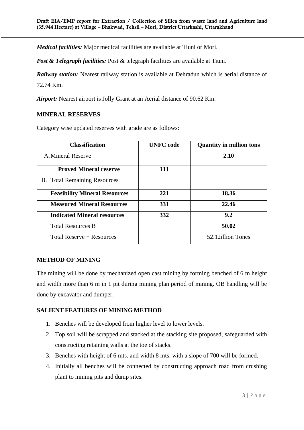*Medical facilities:* Major medical facilities are available at Tiuni or Mori.

*Post & Telegraph facilities:* Post & telegraph facilities are available at Tiuni.

**Railway station:** Nearest railway station is available at Dehradun which is aerial distance of 72.74 Km.

*Airport:* Nearest airport is Jolly Grant at an Aerial distance of 90.62 Km.

#### **MINERAL RESERVES**

Category wise updated reserves with grade are as follows:

| <b>Classification</b>                | <b>UNFC</b> code | <b>Quantity in million tons</b> |
|--------------------------------------|------------------|---------------------------------|
| A. Mineral Reserve                   |                  | 2.10                            |
| <b>Proved Mineral reserve</b>        | 111              |                                 |
| <b>B.</b> Total Remaining Resources  |                  |                                 |
| <b>Feasibility Mineral Resources</b> | 221              | 18.36                           |
| <b>Measured Mineral Resources</b>    | 331              | 22.46                           |
| <b>Indicated Mineral resources</b>   | 332              | 9.2                             |
| <b>Total Resources B</b>             |                  | 50.02                           |
| Total Reserve $+$ Resources          |                  | 52.12 illion Tones              |

#### **METHOD OF MINING**

The mining will be done by mechanized open cast mining by forming benched of 6 m height and width more than 6 m in 1 pit during mining plan period of mining. OB handling will be done by excavator and dumper.

#### **SALIENT FEATURES OF MINING METHOD**

- 1. Benches will be developed from higher level to lower levels.
- 2. Top soil will be scrapped and stacked at the stacking site proposed, safeguarded with constructing retaining walls at the toe of stacks.
- 3. Benches with height of 6 mts. and width 8 mts. with a slope of 700 will be formed.
- 4. Initially all benches will be connected by constructing approach road from crushing plant to mining pits and dump sites.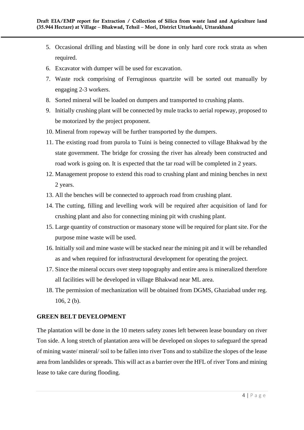- 5. Occasional drilling and blasting will be done in only hard core rock strata as when required.
- 6. Excavator with dumper will be used for excavation.
- 7. Waste rock comprising of Ferruginous quartzite will be sorted out manually by engaging 2-3 workers.
- 8. Sorted mineral will be loaded on dumpers and transported to crushing plants.
- 9. Initially crushing plant will be connected by mule tracks to aerial ropeway, proposed to be motorized by the project proponent.
- 10. Mineral from ropeway will be further transported by the dumpers.
- 11. The existing road from purola to Tuini is being connected to village Bhakwad by the state government. The bridge for crossing the river has already been constructed and road work is going on. It is expected that the tar road will be completed in 2 years.
- 12. Management propose to extend this road to crushing plant and mining benches in next 2 years.
- 13. All the benches will be connected to approach road from crushing plant.
- 14. The cutting, filling and levelling work will be required after acquisition of land for crushing plant and also for connecting mining pit with crushing plant.
- 15. Large quantity of construction or masonary stone will be required for plant site. For the purpose mine waste will be used.
- 16. Initially soil and mine waste will be stacked near the mining pit and it will be rehandled as and when required for infrastructural development for operating the project.
- 17. Since the mineral occurs over steep topography and entire area is mineralized therefore all facilities will be developed in village Bhakwad near ML area.
- 18. The permission of mechanization will be obtained from DGMS, Ghaziabad under reg. 106, 2 (b).

#### **GREEN BELT DEVELOPMENT**

The plantation will be done in the 10 meters safety zones left between lease boundary on river Ton side. A long stretch of plantation area will be developed on slopes to safeguard the spread of mining waste/ mineral/ soil to be fallen into river Tons and to stabilize the slopes of the lease area from landslides or spreads. This will act as a barrier over the HFL of river Tons and mining lease to take care during flooding.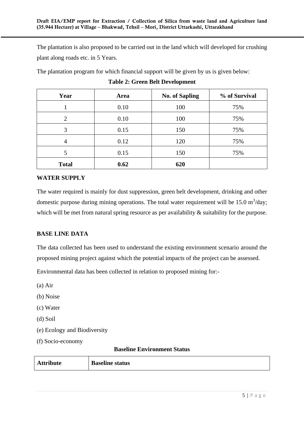The plantation is also proposed to be carried out in the land which will developed for crushing plant along roads etc. in 5 Years.

The plantation program for which financial support will be given by us is given below:

| Year         | Area | <b>No. of Sapling</b> | % of Survival |
|--------------|------|-----------------------|---------------|
|              | 0.10 | 100                   | 75%           |
| 2            | 0.10 | 100                   | 75%           |
| 3            | 0.15 | 150                   | 75%           |
| 4            | 0.12 | 120                   | 75%           |
|              | 0.15 | 150                   | 75%           |
| <b>Total</b> | 0.62 | 620                   |               |

#### **Table 2: Green Belt Development**

#### **WATER SUPPLY**

The water required is mainly for dust suppression, green belt development, drinking and other domestic purpose during mining operations. The total water requirement will be  $15.0 \text{ m}^3/\text{day}$ ; which will be met from natural spring resource as per availability  $\&$  suitability for the purpose.

#### **BASE LINE DATA**

The data collected has been used to understand the existing environment scenario around the proposed mining project against which the potential impacts of the project can be assessed.

Environmental data has been collected in relation to proposed mining for:-

- (a) Air
- (b) Noise
- (c) Water
- (d) Soil
- (e) Ecology and Biodiversity
- (f) Socio-economy

#### **Baseline Environment Status**

| <b>Attribute</b> | <b>Baseline status</b> |
|------------------|------------------------|
|------------------|------------------------|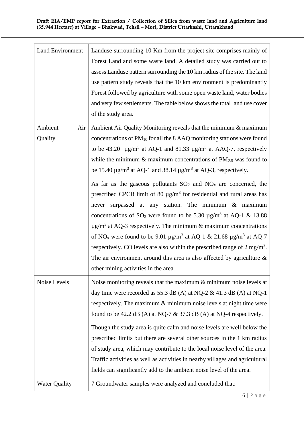| <b>Land Environment</b>   | Landuse surrounding 10 Km from the project site comprises mainly of<br>Forest Land and some waste land. A detailed study was carried out to<br>assess Landuse pattern surrounding the 10 km radius of the site. The land<br>use pattern study reveals that the 10 km environment is predominantly<br>Forest followed by agriculture with some open waste land, water bodies<br>and very few settlements. The table below shows the total land use cover<br>of the study area.                                                                                                                                                                                                                                                                                                                                                                                                                                                                                                                                                                                                                                                                                                                          |
|---------------------------|--------------------------------------------------------------------------------------------------------------------------------------------------------------------------------------------------------------------------------------------------------------------------------------------------------------------------------------------------------------------------------------------------------------------------------------------------------------------------------------------------------------------------------------------------------------------------------------------------------------------------------------------------------------------------------------------------------------------------------------------------------------------------------------------------------------------------------------------------------------------------------------------------------------------------------------------------------------------------------------------------------------------------------------------------------------------------------------------------------------------------------------------------------------------------------------------------------|
| Ambient<br>Air<br>Quality | Ambient Air Quality Monitoring reveals that the minimum & maximum<br>concentrations of PM <sub>10</sub> for all the 8 AAQ monitoring stations were found<br>to be 43.20 $\mu$ g/m <sup>3</sup> at AQ-1 and 81.33 $\mu$ g/m <sup>3</sup> at AAQ-7, respectively<br>while the minimum $\&$ maximum concentrations of PM <sub>2.5</sub> was found to<br>be 15.40 $\mu$ g/m <sup>3</sup> at AQ-1 and 38.14 $\mu$ g/m <sup>3</sup> at AQ-3, respectively.<br>As far as the gaseous pollutants $SO_2$ and $NO_x$ are concerned, the<br>prescribed CPCB limit of 80 $\mu$ g/m <sup>3</sup> for residential and rural areas has<br>never surpassed at any station. The minimum & maximum<br>concentrations of SO <sub>2</sub> were found to be 5.30 $\mu$ g/m <sup>3</sup> at AQ-1 & 13.88<br>$\mu$ g/m <sup>3</sup> at AQ-3 respectively. The minimum & maximum concentrations<br>of NO <sub>x</sub> were found to be 9.01 $\mu$ g/m <sup>3</sup> at AQ-1 & 21.68 $\mu$ g/m <sup>3</sup> at AQ-7<br>respectively. CO levels are also within the prescribed range of $2 \text{ mg/m}^3$ .<br>The air environment around this area is also affected by agriculture $\&$<br>other mining activities in the area. |
| Noise Levels              | Noise monitoring reveals that the maximum $\&$ minimum noise levels at<br>day time were recorded as 55.3 dB (A) at NQ-2 & 41.3 dB (A) at NQ-1<br>respectively. The maximum $\&$ minimum noise levels at night time were<br>found to be 42.2 dB (A) at NQ-7 $\&$ 37.3 dB (A) at NQ-4 respectively.<br>Though the study area is quite calm and noise levels are well below the<br>prescribed limits but there are several other sources in the 1 km radius<br>of study area, which may contribute to the local noise level of the area.<br>Traffic activities as well as activities in nearby villages and agricultural<br>fields can significantly add to the ambient noise level of the area.                                                                                                                                                                                                                                                                                                                                                                                                                                                                                                          |
| <b>Water Quality</b>      | 7 Groundwater samples were analyzed and concluded that:                                                                                                                                                                                                                                                                                                                                                                                                                                                                                                                                                                                                                                                                                                                                                                                                                                                                                                                                                                                                                                                                                                                                                |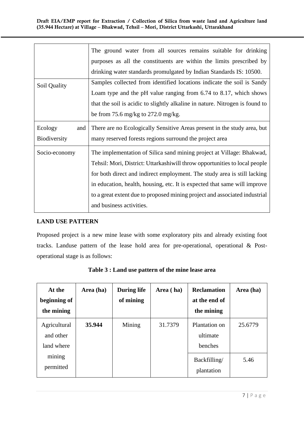|                     | The ground water from all sources remains suitable for drinking              |
|---------------------|------------------------------------------------------------------------------|
|                     | purposes as all the constituents are within the limits prescribed by         |
|                     | drinking water standards promulgated by Indian Standards IS: 10500.          |
| Soil Quality        | Samples collected from identified locations indicate the soil is Sandy       |
|                     | Loam type and the pH value ranging from 6.74 to 8.17, which shows            |
|                     | that the soil is acidic to slightly alkaline in nature. Nitrogen is found to |
|                     | be from 75.6 mg/kg to 272.0 mg/kg.                                           |
| Ecology<br>and      | There are no Ecologically Sensitive Areas present in the study area, but     |
| <b>Biodiversity</b> | many reserved forests regions surround the project area                      |
| Socio-economy       | The implementation of Silica sand mining project at Village: Bhakwad,        |
|                     | Tehsil: Mori, District: Uttarkashiwill throw opportunities to local people   |
|                     | for both direct and indirect employment. The study area is still lacking     |
|                     | in education, health, housing, etc. It is expected that same will improve    |
|                     |                                                                              |
|                     | to a great extent due to proposed mining project and associated industrial   |
|                     | and business activities.                                                     |

#### **LAND USE PATTERN**

Proposed project is a new mine lease with some exploratory pits and already existing foot tracks. Landuse pattern of the lease hold area for pre-operational, operational & Postoperational stage is as follows:

| At the<br>beginning of<br>the mining    | Area (ha) | <b>During life</b><br>of mining | Area (ha) | <b>Reclamation</b><br>at the end of<br>the mining | Area (ha) |
|-----------------------------------------|-----------|---------------------------------|-----------|---------------------------------------------------|-----------|
| Agricultural<br>and other<br>land where | 35.944    | Mining                          | 31.7379   | Plantation on<br>ultimate<br>benches              | 25.6779   |
| mining<br>permitted                     |           |                                 |           | Backfilling/<br>plantation                        | 5.46      |

**Table 3 : Land use pattern of the mine lease area**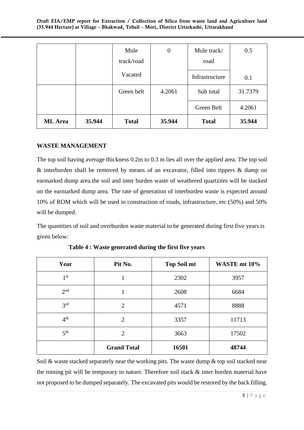|                |        | Mule         | $\theta$ | Mule track/    | 0.5     |
|----------------|--------|--------------|----------|----------------|---------|
|                |        | track/road   |          | road           |         |
|                |        | Vacated      |          | Infrastructure | 0.1     |
|                |        | Green belt   | 4.2061   | Sub total      | 31.7379 |
|                |        |              |          | Green Belt     | 4.2061  |
| <b>ML</b> Area | 35.944 | <b>Total</b> | 35.944   | <b>Total</b>   | 35.944  |

#### **WASTE MANAGEMENT**

The top soil having average thickness 0.2m to 0.3 m lies all over the applied area. The top soil & interburden shall be removed by means of an excavator, filled into tippers & dump on earmarked dump area.the soil and inter burden waste of weathered quartzites will be stacked on the earmarked dump area. The rate of generation of interburden waste is expected around 10% of ROM which will be used in construction of roads, infrastructure, etc (50%) and 50% will be dumped.

The quantities of soil and overburden waste material to be generated during first five years is given below:

| Year            | Pit No.            | <b>Top Soil mt</b> | WASTE mt 10% |
|-----------------|--------------------|--------------------|--------------|
| 1 <sup>st</sup> |                    | 2302               | 3957         |
| 2 <sup>nd</sup> |                    | 2608               | 6684         |
| 3 <sup>rd</sup> | $\overline{2}$     | 4571               | 8888         |
| 4 <sup>th</sup> | 2                  | 3357               | 11713        |
| 5 <sup>th</sup> | $\overline{2}$     | 3663               | 17502        |
|                 | <b>Grand Total</b> | 16501              | 48744        |

 **Table 4 : Waste generated during the first five years**

Soil  $\&$  waste stacked separately near the working pits. The waste dump  $\&$  top soil stacked near the mining pit will be temporary in nature. Therefore soil stack & inter burden material have not proposed to be dumped separately. The excavated pits would be restored by the back filling.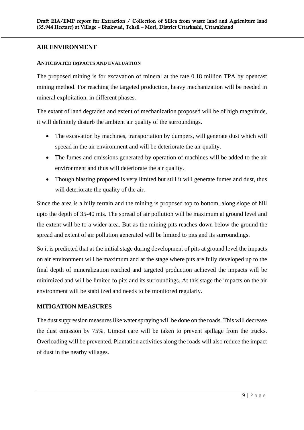#### **AIR ENVIRONMENT**

#### **ANTICIPATED IMPACTS AND EVALUATION**

The proposed mining is for excavation of mineral at the rate 0.18 million TPA by opencast mining method. For reaching the targeted production, heavy mechanization will be needed in mineral exploitation, in different phases.

The extant of land degraded and extent of mechanization proposed will be of high magnitude, it will definitely disturb the ambient air quality of the surroundings.

- The excavation by machines, transportation by dumpers, will generate dust which will speead in the air environment and will be deteriorate the air quality.
- The fumes and emissions generated by operation of machines will be added to the air environment and thus will deteriorate the air quality.
- Though blasting proposed is very limited but still it will generate fumes and dust, thus will deteriorate the quality of the air.

Since the area is a hilly terrain and the mining is proposed top to bottom, along slope of hill upto the depth of 35-40 mts. The spread of air pollution will be maximum at ground level and the extent will be to a wider area. But as the mining pits reaches down below the ground the spread and extent of air pollution generated will be limited to pits and its surroundings.

So it is predicted that at the initial stage during development of pits at ground level the impacts on air environment will be maximum and at the stage where pits are fully developed up to the final depth of mineralization reached and targeted production achieved the impacts will be minimized and will be limited to pits and its surroundings. At this stage the impacts on the air environment will be stabilized and needs to be monitored regularly.

#### **MITIGATION MEASURES**

The dust suppression measures like water spraying will be done on the roads. This will decrease the dust emission by 75%. Utmost care will be taken to prevent spillage from the trucks. Overloading will be prevented. Plantation activities along the roads will also reduce the impact of dust in the nearby villages.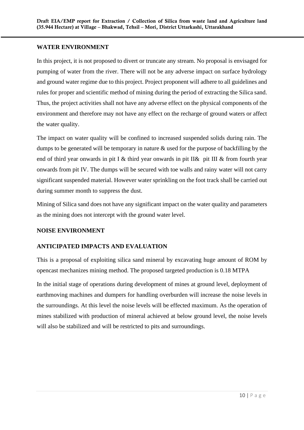#### **WATER ENVIRONMENT**

In this project, it is not proposed to divert or truncate any stream. No proposal is envisaged for pumping of water from the river. There will not be any adverse impact on surface hydrology and ground water regime due to this project. Project proponent will adhere to all guidelines and rules for proper and scientific method of mining during the period of extracting the Silica sand. Thus, the project activities shall not have any adverse effect on the physical components of the environment and therefore may not have any effect on the recharge of ground waters or affect the water quality.

The impact on water quality will be confined to increased suspended solids during rain. The dumps to be generated will be temporary in nature & used for the purpose of backfilling by the end of third year onwards in pit I & third year onwards in pit II& pit III & from fourth year onwards from pit IV. The dumps will be secured with toe walls and rainy water will not carry significant suspended material. However water sprinkling on the foot track shall be carried out during summer month to suppress the dust.

Mining of Silica sand does not have any significant impact on the water quality and parameters as the mining does not intercept with the ground water level.

#### **NOISE ENVIRONMENT**

#### **ANTICIPATED IMPACTS AND EVALUATION**

This is a proposal of exploiting silica sand mineral by excavating huge amount of ROM by opencast mechanizes mining method. The proposed targeted production is 0.18 MTPA

In the initial stage of operations during development of mines at ground level, deployment of earthmoving machines and dumpers for handling overburden will increase the noise levels in the surroundings. At this level the noise levels will be effected maximum. As the operation of mines stabilized with production of mineral achieved at below ground level, the noise levels will also be stabilized and will be restricted to pits and surroundings.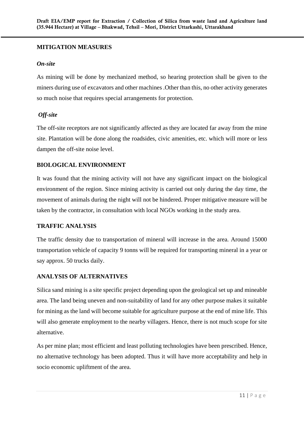#### **MITIGATION MEASURES**

#### *On-site*

As mining will be done by mechanized method, so hearing protection shall be given to the miners during use of excavators and other machines .Other than this, no other activity generates so much noise that requires special arrangements for protection.

#### *Off-site*

The off-site receptors are not significantly affected as they are located far away from the mine site. Plantation will be done along the roadsides, civic amenities, etc. which will more or less dampen the off-site noise level.

#### **BIOLOGICAL ENVIRONMENT**

It was found that the mining activity will not have any significant impact on the biological environment of the region. Since mining activity is carried out only during the day time, the movement of animals during the night will not be hindered. Proper mitigative measure will be taken by the contractor, in consultation with local NGOs working in the study area.

#### **TRAFFIC ANALYSIS**

The traffic density due to transportation of mineral will increase in the area. Around 15000 transportation vehicle of capacity 9 tonns will be required for transporting mineral in a year or say approx. 50 trucks daily.

#### **ANALYSIS OF ALTERNATIVES**

Silica sand mining is a site specific project depending upon the geological set up and mineable area. The land being uneven and non-suitability of land for any other purpose makes it suitable for mining as the land will become suitable for agriculture purpose at the end of mine life. This will also generate employment to the nearby villagers. Hence, there is not much scope for site alternative.

As per mine plan; most efficient and least polluting technologies have been prescribed. Hence, no alternative technology has been adopted. Thus it will have more acceptability and help in socio economic upliftment of the area.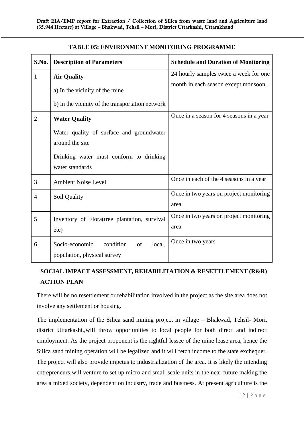| S.No.          | <b>Description of Parameters</b>                                           | <b>Schedule and Duration of Monitoring</b>      |
|----------------|----------------------------------------------------------------------------|-------------------------------------------------|
| 1              | <b>Air Quality</b>                                                         | 24 hourly samples twice a week for one          |
|                | a) In the vicinity of the mine                                             | month in each season except monsoon.            |
|                | b) In the vicinity of the transportation network                           |                                                 |
| 2              | <b>Water Quality</b>                                                       | Once in a season for 4 seasons in a year        |
|                | Water quality of surface and groundwater<br>around the site                |                                                 |
|                | Drinking water must conform to drinking<br>water standards                 |                                                 |
| 3              | <b>Ambient Noise Level</b>                                                 | Once in each of the 4 seasons in a year         |
| $\overline{4}$ | Soil Quality                                                               | Once in two years on project monitoring<br>area |
| 5              | Inventory of Flora(tree plantation, survival<br>etc)                       | Once in two years on project monitoring<br>area |
| 6              | condition<br>local.<br>Socio-economic<br>of<br>population, physical survey | Once in two years                               |

#### **TABLE 05: ENVIRONMENT MONITORING PROGRAMME**

### **SOCIAL IMPACT ASSESSMENT, REHABILITATION & RESETTLEMENT (R&R) ACTION PLAN**

There will be no resettlement or rehabilitation involved in the project as the site area does not involve any settlement or housing.

The implementation of the Silica sand mining project in village – Bhakwad, Tehsil- Mori, district Uttarkashi.,will throw opportunities to local people for both direct and indirect employment. As the project proponent is the rightful lessee of the mine lease area, hence the Silica sand mining operation will be legalized and it will fetch income to the state exchequer. The project will also provide impetus to industrialization of the area. It is likely the intending entrepreneurs will venture to set up micro and small scale units in the near future making the area a mixed society, dependent on industry, trade and business. At present agriculture is the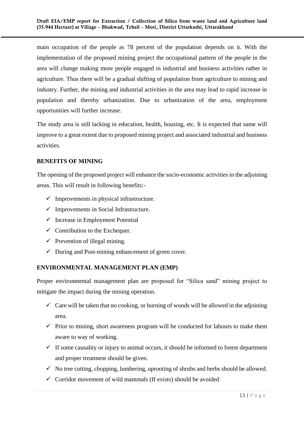main occupation of the people as 78 percent of the population depends on it. With the implementation of the proposed mining project the occupational pattern of the people in the area will change making more people engaged in industrial and business activities rather in agriculture. Thus there will be a gradual shifting of population from agriculture to mining and industry. Further, the mining and industrial activities in the area may lead to rapid increase in population and thereby urbanization. Due to urbanization of the area, employment opportunities will further increase.

The study area is still lacking in education, health, housing, etc. It is expected that same will improve to a great extent due to proposed mining project and associated industrial and business activities.

#### **BENEFITS OF MINING**

The opening of the proposed project will enhance the socio-economic activities in the adjoining areas. This will result in following benefits:-

- $\checkmark$  Improvements in physical infrastructure.
- $\checkmark$  Improvements in Social Infrastructure.
- $\checkmark$  Increase in Employment Potential
- $\checkmark$  Contribution to the Exchequer.
- $\checkmark$  Prevention of illegal mining.
- $\checkmark$  During and Post-mining enhancement of green cover.

#### **ENVIRONMENTAL MANAGEMENT PLAN (EMP)**

Proper environmental management plan are proposed for "Silica sand" mining project to mitigate the impact during the mining operation.

- $\checkmark$  Care will be taken that no cooking, or burning of woods will be allowed in the adjoining area.
- $\checkmark$  Prior to mining, short awareness program will be conducted for labours to make them aware to way of working.
- $\checkmark$  If some causality or injury to animal occurs, it should be informed to forest department and proper treatment should be given.
- $\checkmark$  No tree cutting, chopping, lumbering, uprooting of shrubs and herbs should be allowed.
- $\checkmark$  Corridor movement of wild mammals (If exists) should be avoided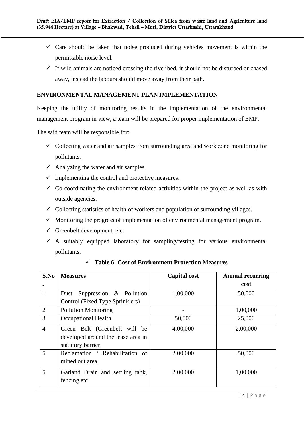- $\checkmark$  Care should be taken that noise produced during vehicles movement is within the permissible noise level.
- $\checkmark$  If wild animals are noticed crossing the river bed, it should not be disturbed or chased away, instead the labours should move away from their path.

#### **ENVIRONMENTAL MANAGEMENT PLAN IMPLEMENTATION**

Keeping the utility of monitoring results in the implementation of the environmental management program in view, a team will be prepared for proper implementation of EMP.

The said team will be responsible for:

- $\checkmark$  Collecting water and air samples from surrounding area and work zone monitoring for pollutants.
- $\checkmark$  Analyzing the water and air samples.
- $\checkmark$  Implementing the control and protective measures.
- $\checkmark$  Co-coordinating the environment related activities within the project as well as with outside agencies.
- $\checkmark$  Collecting statistics of health of workers and population of surrounding villages.
- $\checkmark$  Monitoring the progress of implementation of environmental management program.
- $\checkmark$  Greenbelt development, etc.
- $\checkmark$  A suitably equipped laboratory for sampling/testing for various environmental pollutants.

| S.No           | <b>Measures</b>                    | <b>Capital cost</b> | <b>Annual recurring</b> |
|----------------|------------------------------------|---------------------|-------------------------|
| ٠              |                                    |                     | cost                    |
|                | Suppression & Pollution<br>Dust    | 1,00,000            | 50,000                  |
|                | Control (Fixed Type Sprinklers)    |                     |                         |
| 2              | <b>Pollution Monitoring</b>        |                     | 1,00,000                |
| 3              | Occupational Health                | 50,000              | 25,000                  |
| $\overline{4}$ | Green Belt (Greenbelt will be      | 4,00,000            | 2,00,000                |
|                | developed around the lease area in |                     |                         |
|                | statutory barrier                  |                     |                         |
| 5              | Reclamation / Rehabilitation of    | 2,00,000            | 50,000                  |
|                | mined out area                     |                     |                         |
| 5              | Garland Drain and settling tank,   | 2,00,000            | 1,00,000                |
|                | fencing etc                        |                     |                         |

✓ **Table 6: Cost of Environment Protection Measures**